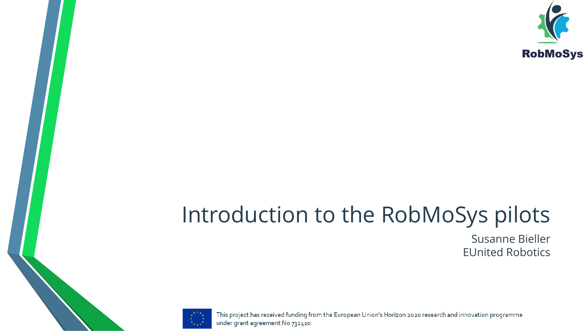

#### Introduction to the RobMoSys pilots

Susanne Bieller EUnited Robotics



This project has received funding from the European Union's Horizon 2020 research and innovation programme under grant agreement No 732410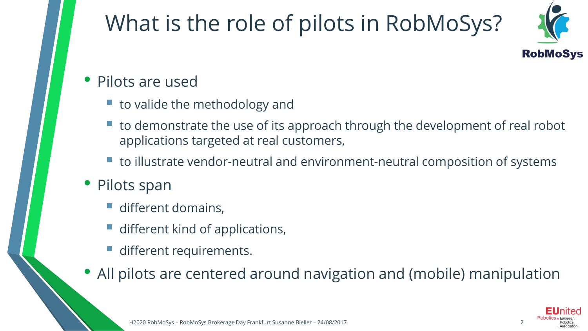## What is the role of pilots in RobMoSys?



#### • Pilots are used

- $\blacksquare$  to valide the methodology and
- to demonstrate the use of its approach through the development of real robot applications targeted at real customers,
- to illustrate vendor-neutral and environment-neutral composition of systems
- Pilots span
	- different domains,
	- different kind of applications,
	- different requirements.
- All pilots are centered around navigation and (mobile) manipulation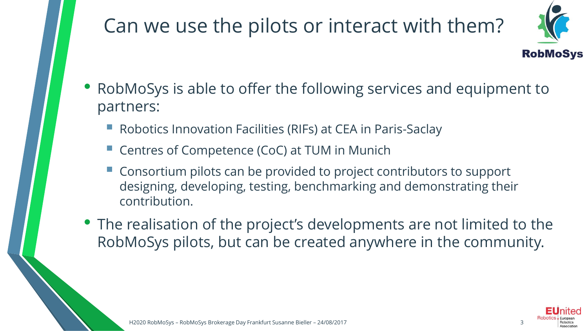#### Can we use the pilots or interact with them?



- RobMoSys is able to offer the following services and equipment to partners:
	- Robotics Innovation Facilities (RIFs) at CEA in Paris-Saclay
	- Centres of Competence (CoC) at TUM in Munich
	- Consortium pilots can be provided to project contributors to support designing, developing, testing, benchmarking and demonstrating their contribution.
- The realisation of the project's developments are not limited to the RobMoSys pilots, but can be created anywhere in the community.

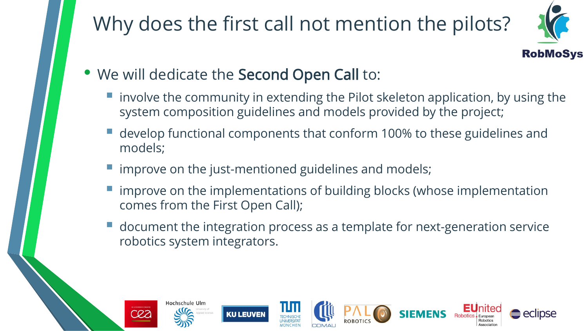#### Why does the first call not mention the pilots?



- We will dedicate the Second Open Call to:
	- **E** involve the community in extending the Pilot skeleton application, by using the system composition guidelines and models provided by the project;
	- develop functional components that conform 100% to these guidelines and models;
	- **The improve on the just-mentioned guidelines and models;**
	- improve on the implementations of building blocks (whose implementation comes from the First Open Call);
	- document the integration process as a template for next-generation service robotics system integrators.

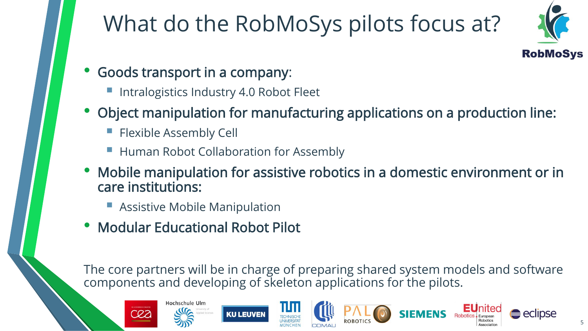# What do the RobMoSys pilots focus at?



- Goods transport in a company:
	- Intralogistics Industry 4.0 Robot Fleet
- Object manipulation for manufacturing applications on a production line:
	- **Flexible Assembly Cell**
	- **Human Robot Collaboration for Assembly**
- Mobile manipulation for assistive robotics in a domestic environment or in care institutions:
	- **Assistive Mobile Manipulation**
- Modular Educational Robot Pilot

The core partners will be in charge of preparing shared system models and software components and developing of skeleton applications for the pilots.













eclipse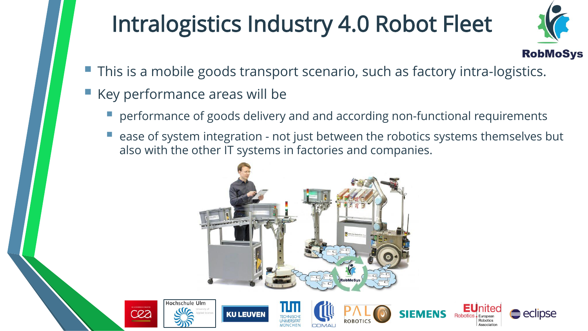## Intralogistics Industry 4.0 Robot Fleet



- This is a mobile goods transport scenario, such as factory intra-logistics.
- Key performance areas will be
	- performance of goods delivery and and according non-functional requirements
	- ease of system integration not just between the robotics systems themselves but also with the other IT systems in factories and companies.



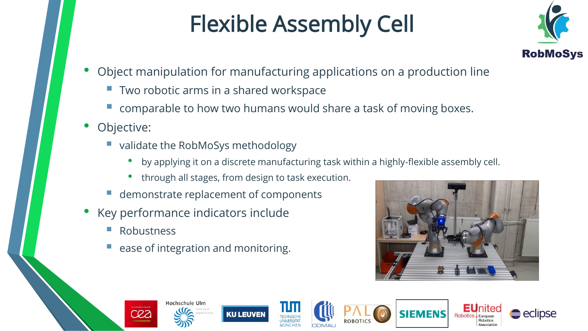## Flexible Assembly Cell



- Object manipulation for manufacturing applications on a production line
	- Two robotic arms in a shared workspace
	- comparable to how two humans would share a task of moving boxes.
- Objective:
	- validate the RobMoSys methodology
		- by applying it on a discrete manufacturing task within a highly-flexible assembly cell.
		- through all stages, from design to task execution.
	- demonstrate replacement of components
- Key performance indicators include

Hochschule Ulm

**Robustness** 

CRZ

ease of integration and monitoring.



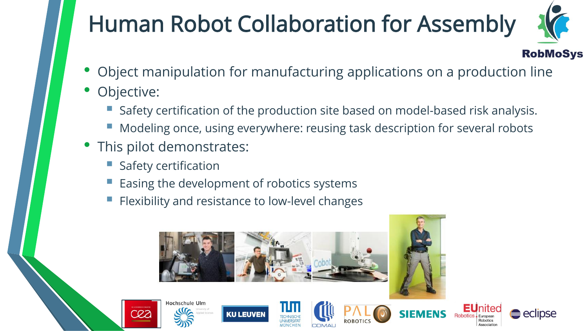# Human Robot Collaboration for Assembly



- Object manipulation for manufacturing applications on a production line
- Objective:
	- Safety certification of the production site based on model-based risk analysis.
	- Modeling once, using everywhere: reusing task description for several robots
- This pilot demonstrates:
	- **Safety certification**
	- Easing the development of robotics systems
	- Flexibility and resistance to low-level changes



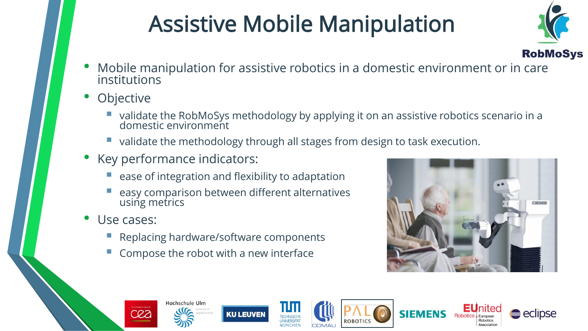# Assistive Mobile Manipulation



- **RobMoSys**<br>• Mobile manipulation for assistive robotics in a domestic environment or in care institutions
- **Objective** 
	- validate the RobMoSys methodology by applying it on an assistive robotics scenario in a domestic environment
	- validate the methodology through all stages from design to task execution.
- Key performance indicators:
	- ease of integration and flexibility to adaptation
	- easy comparison between different alternatives using metrics
- Use cases:

CRZ

- Replacing hardware/software components
- Compose the robot with a new interface

Hochschule Ulm